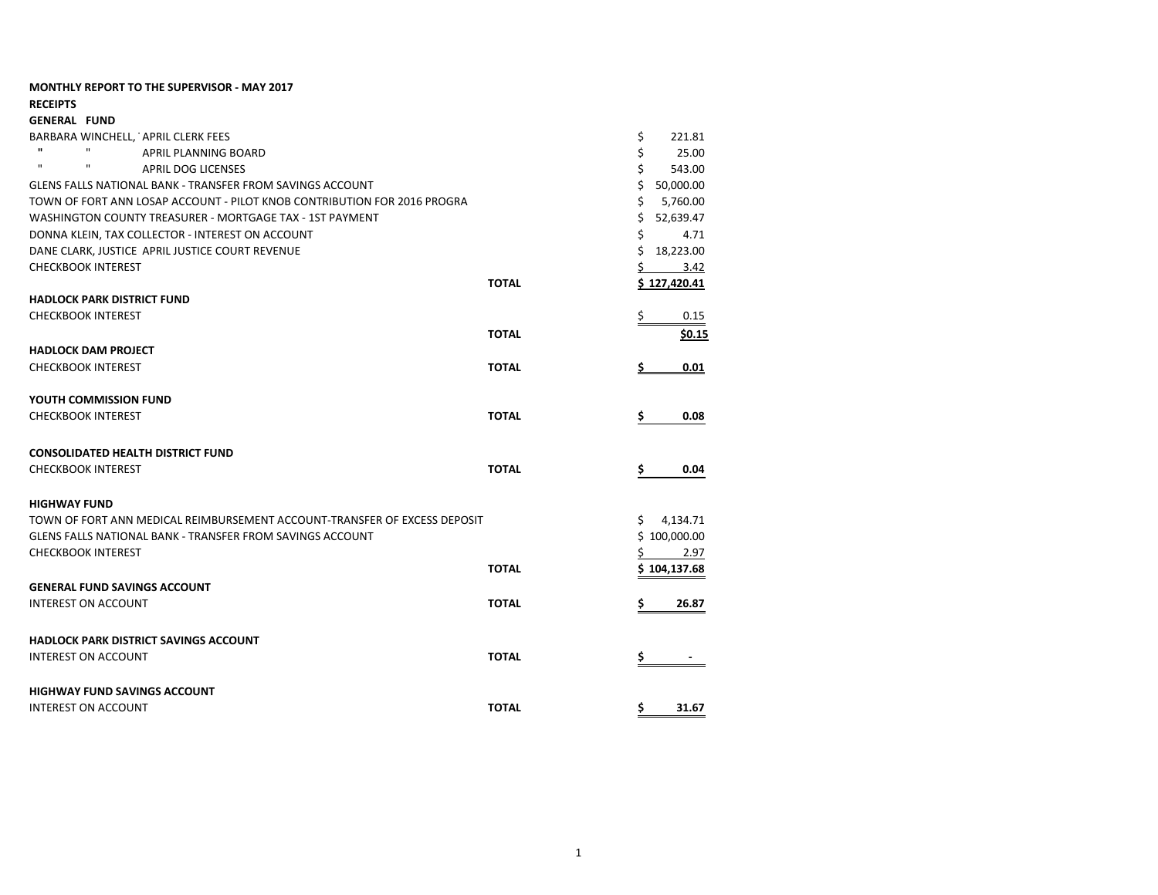| <b>MONTHLY REPORT TO THE SUPERVISOR - MAY 2017</b>                        |              |                     |
|---------------------------------------------------------------------------|--------------|---------------------|
| <b>RECEIPTS</b>                                                           |              |                     |
| <b>GENERAL FUND</b>                                                       |              |                     |
| BARBARA WINCHELL, APRIL CLERK FEES                                        |              | \$<br>221.81        |
| $\mathbf{u}$<br>$\mathbf{H}$<br><b>APRIL PLANNING BOARD</b>               |              | \$<br>25.00         |
| $\mathbf{H}$<br>$\mathbf{H}$<br><b>APRIL DOG LICENSES</b>                 |              | Ś.<br>543.00        |
| <b>GLENS FALLS NATIONAL BANK - TRANSFER FROM SAVINGS ACCOUNT</b>          |              | \$ 50,000.00        |
| TOWN OF FORT ANN LOSAP ACCOUNT - PILOT KNOB CONTRIBUTION FOR 2016 PROGRA  |              | Ś.<br>5,760.00      |
| WASHINGTON COUNTY TREASURER - MORTGAGE TAX - 1ST PAYMENT                  |              | \$<br>52,639.47     |
| DONNA KLEIN, TAX COLLECTOR - INTEREST ON ACCOUNT                          |              | \$<br>4.71          |
| DANE CLARK, JUSTICE APRIL JUSTICE COURT REVENUE                           |              | \$<br>18,223.00     |
| <b>CHECKBOOK INTEREST</b>                                                 |              | Ś.<br>3.42          |
|                                                                           | <b>TOTAL</b> | <u>\$127,420.41</u> |
| <b>HADLOCK PARK DISTRICT FUND</b>                                         |              |                     |
| <b>CHECKBOOK INTEREST</b>                                                 |              | \$<br>0.15          |
|                                                                           | <b>TOTAL</b> | \$0.15              |
| <b>HADLOCK DAM PROJECT</b>                                                |              |                     |
| <b>CHECKBOOK INTEREST</b>                                                 | <b>TOTAL</b> | <u>0.01</u>         |
| YOUTH COMMISSION FUND                                                     |              |                     |
| <b>CHECKBOOK INTEREST</b>                                                 | <b>TOTAL</b> | s<br>0.08           |
| <b>CONSOLIDATED HEALTH DISTRICT FUND</b>                                  |              |                     |
| <b>CHECKBOOK INTEREST</b>                                                 | <b>TOTAL</b> | \$<br>0.04          |
| <b>HIGHWAY FUND</b>                                                       |              |                     |
| TOWN OF FORT ANN MEDICAL REIMBURSEMENT ACCOUNT-TRANSFER OF EXCESS DEPOSIT |              | Ś.<br>4,134.71      |
| <b>GLENS FALLS NATIONAL BANK - TRANSFER FROM SAVINGS ACCOUNT</b>          |              | \$100,000.00        |
| <b>CHECKBOOK INTEREST</b>                                                 |              | 2.97<br>Ś           |
|                                                                           | <b>TOTAL</b> | \$104,137.68        |
| <b>GENERAL FUND SAVINGS ACCOUNT</b>                                       |              |                     |
| <b>INTEREST ON ACCOUNT</b>                                                | <b>TOTAL</b> | S<br>26.87          |
| <b>HADLOCK PARK DISTRICT SAVINGS ACCOUNT</b>                              |              |                     |
| <b>INTEREST ON ACCOUNT</b>                                                | <b>TOTAL</b> | Ś                   |
| <b>HIGHWAY FUND SAVINGS ACCOUNT</b>                                       |              |                     |
| <b>INTEREST ON ACCOUNT</b>                                                | <b>TOTAL</b> | 31.67               |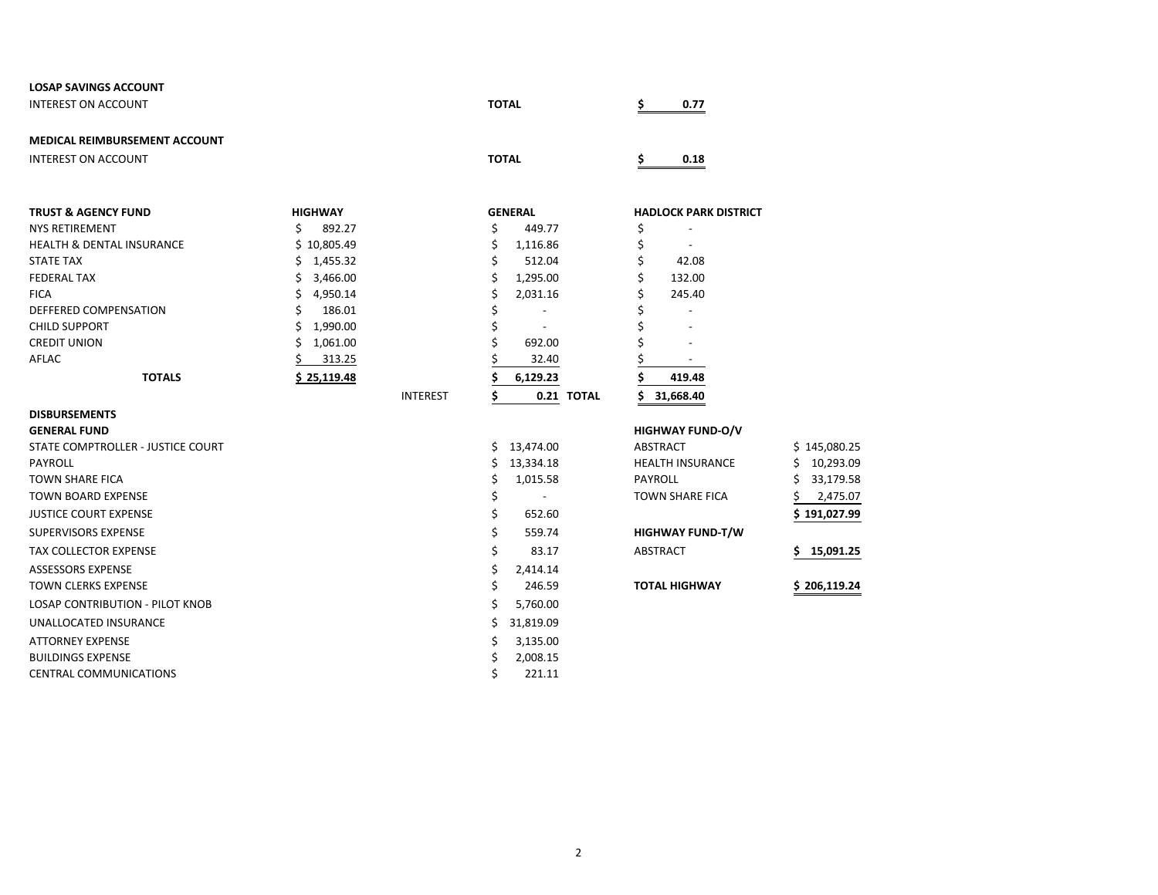| <b>LOSAP SAVINGS ACCOUNT</b>                        |                               |                 |                |                          |                                          |                  |
|-----------------------------------------------------|-------------------------------|-----------------|----------------|--------------------------|------------------------------------------|------------------|
| <b>INTEREST ON ACCOUNT</b>                          |                               |                 | <b>TOTAL</b>   |                          | Ś.<br>0.77                               |                  |
| <b>MEDICAL REIMBURSEMENT ACCOUNT</b>                |                               |                 |                |                          |                                          |                  |
| <b>INTEREST ON ACCOUNT</b>                          |                               |                 | <b>TOTAL</b>   |                          | 0.18                                     |                  |
|                                                     |                               |                 |                |                          |                                          |                  |
| <b>TRUST &amp; AGENCY FUND</b>                      | <b>HIGHWAY</b>                |                 | <b>GENERAL</b> |                          | <b>HADLOCK PARK DISTRICT</b>             |                  |
| <b>NYS RETIREMENT</b>                               | Ś<br>892.27                   |                 | \$             | 449.77                   | \$                                       |                  |
| <b>HEALTH &amp; DENTAL INSURANCE</b>                | \$10,805.49                   |                 | \$             | 1,116.86                 | \$                                       |                  |
| <b>STATE TAX</b>                                    | Ś<br>1,455.32                 |                 |                | 512.04                   | \$<br>42.08                              |                  |
| <b>FEDERAL TAX</b>                                  | Ś<br>3,466.00                 |                 | Ś              | 1,295.00                 | 132.00                                   |                  |
| <b>FICA</b>                                         | Ś<br>4,950.14                 |                 | Ś              | 2,031.16                 | Ś<br>245.40                              |                  |
| DEFFERED COMPENSATION<br><b>CHILD SUPPORT</b>       | Ś.<br>186.01<br>Ś<br>1,990.00 |                 | Ś              | $\overline{\phantom{a}}$ | $\overline{\phantom{a}}$                 |                  |
| <b>CREDIT UNION</b>                                 | \$<br>1,061.00                |                 |                | 692.00                   |                                          |                  |
| <b>AFLAC</b>                                        | 313.25                        |                 |                | 32.40                    |                                          |                  |
| <b>TOTALS</b>                                       |                               |                 |                |                          |                                          |                  |
|                                                     | \$25,119.48                   |                 |                | 6,129.23                 | 419.48                                   |                  |
|                                                     |                               | <b>INTEREST</b> | S              | 0.21 TOTAL               | 31,668.40                                |                  |
| <b>DISBURSEMENTS</b>                                |                               |                 |                |                          |                                          |                  |
| <b>GENERAL FUND</b>                                 |                               |                 |                |                          | <b>HIGHWAY FUND-O/V</b>                  |                  |
| STATE COMPTROLLER - JUSTICE COURT                   |                               |                 | Ś.             | 13,474.00                | ABSTRACT                                 | \$145,080.25     |
| PAYROLL                                             |                               |                 | Ś              | 13,334.18                | <b>HEALTH INSURANCE</b>                  | Ś<br>10,293.09   |
| <b>TOWN SHARE FICA</b><br><b>TOWN BOARD EXPENSE</b> |                               |                 | \$             | 1,015.58                 | <b>PAYROLL</b><br><b>TOWN SHARE FICA</b> | 33,179.58<br>S   |
|                                                     |                               |                 | \$             | $\overline{\phantom{a}}$ |                                          | 2,475.07         |
| <b>JUSTICE COURT EXPENSE</b>                        |                               |                 | \$             | 652.60                   |                                          | \$191,027.99     |
| <b>SUPERVISORS EXPENSE</b>                          |                               |                 | \$             | 559.74                   | <b>HIGHWAY FUND-T/W</b>                  |                  |
| <b>TAX COLLECTOR EXPENSE</b>                        |                               |                 | \$             | 83.17                    | <b>ABSTRACT</b>                          | 15,091.25<br>\$. |
| <b>ASSESSORS EXPENSE</b>                            |                               |                 | \$             | 2,414.14                 |                                          |                  |
| <b>TOWN CLERKS EXPENSE</b>                          |                               |                 | Ś              | 246.59                   | <b>TOTAL HIGHWAY</b>                     | \$206,119.24     |
| <b>LOSAP CONTRIBUTION - PILOT KNOB</b>              |                               |                 | Ś              | 5,760.00                 |                                          |                  |
| UNALLOCATED INSURANCE                               |                               |                 | Ś              | 31,819.09                |                                          |                  |
| <b>ATTORNEY EXPENSE</b>                             |                               |                 | \$             | 3,135.00                 |                                          |                  |
| <b>BUILDINGS EXPENSE</b>                            |                               |                 | \$             | 2,008.15                 |                                          |                  |
| <b>CENTRAL COMMUNICATIONS</b>                       |                               |                 | Ś              | 221.11                   |                                          |                  |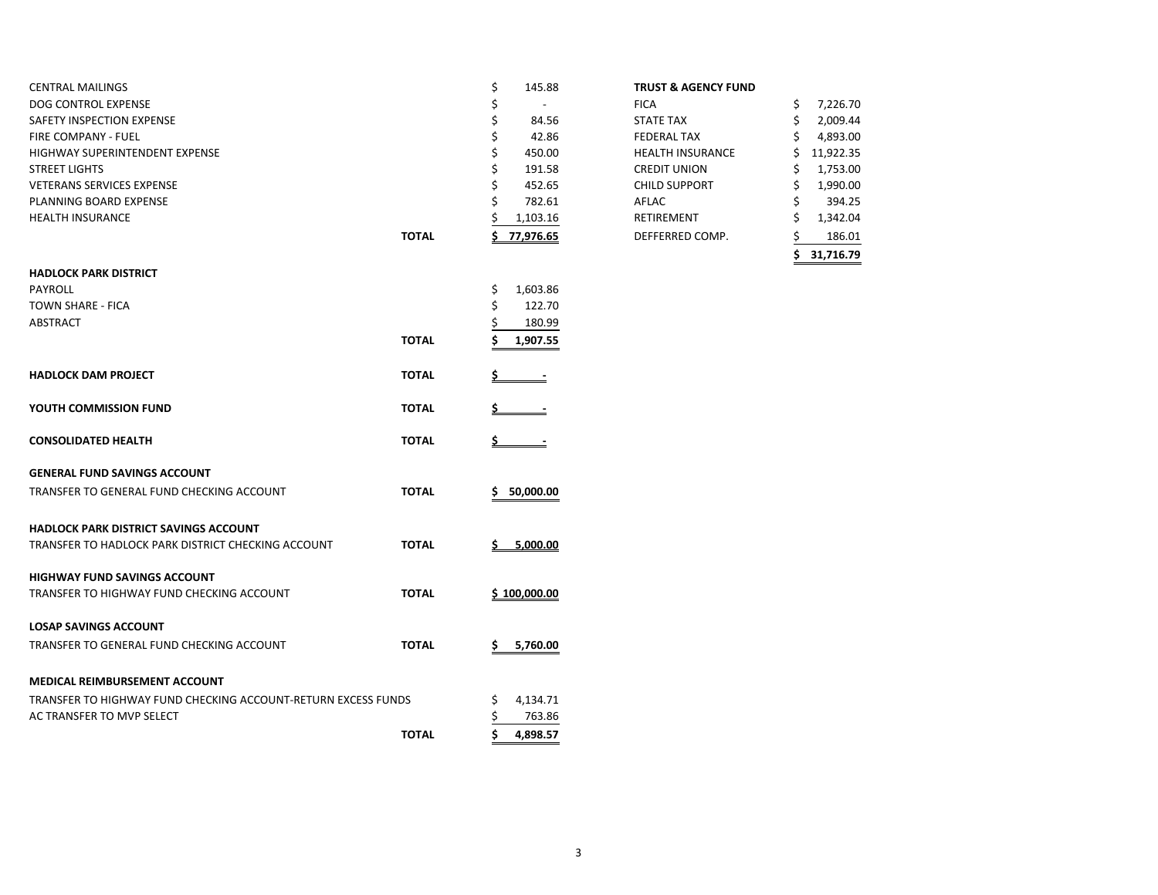| CENTRAL MAILINGS                      |       | 145.88                   | <b>TRUST &amp; AGENCY FUND</b> |           |
|---------------------------------------|-------|--------------------------|--------------------------------|-----------|
| DOG CONTROL EXPENSE                   |       | $\overline{\phantom{a}}$ | <b>FICA</b>                    | 7,226.70  |
| SAFETY INSPECTION EXPENSE             |       | 84.56                    | <b>STATE TAX</b>               | 2,009.44  |
| <b>FIRE COMPANY - FUEL</b>            |       | 42.86                    | <b>FEDERAL TAX</b>             | 4,893.00  |
| <b>HIGHWAY SUPERINTENDENT EXPENSE</b> |       | 450.00                   | <b>HEALTH INSURANCE</b>        | 11,922.35 |
| <b>STREET LIGHTS</b>                  |       | 191.58                   | <b>CREDIT UNION</b>            | 1,753.00  |
| <b>VETERANS SERVICES EXPENSE</b>      |       | 452.65                   | <b>CHILD SUPPORT</b>           | 1,990.00  |
| PLANNING BOARD EXPENSE                |       | 782.61                   | AFLAC                          | 394.25    |
| <b>HEALTH INSURANCE</b>               |       | 1,103.16                 | RETIREMENT                     | 1,342.04  |
|                                       | TOTAL | 77.976.65                | DEFFERRED COMP.                | 186.01    |

| HADLOCK PARK DISTRICT                                         |              |                |
|---------------------------------------------------------------|--------------|----------------|
| PAYROLL                                                       |              | \$<br>1,603.86 |
| TOWN SHARE - FICA                                             |              | \$<br>122.70   |
| <b>ABSTRACT</b>                                               |              | \$<br>180.99   |
|                                                               | <b>TOTAL</b> | \$<br>1,907.55 |
| <b>HADLOCK DAM PROJECT</b>                                    | <b>TOTAL</b> |                |
| YOUTH COMMISSION FUND                                         | <b>TOTAL</b> |                |
| <b>CONSOLIDATED HEALTH</b>                                    | <b>TOTAL</b> | Ś.             |
| <b>GENERAL FUND SAVINGS ACCOUNT</b>                           |              |                |
| TRANSFER TO GENERAL FUND CHECKING ACCOUNT                     | <b>TOTAL</b> | \$50,000.00    |
| <b>HADLOCK PARK DISTRICT SAVINGS ACCOUNT</b>                  |              |                |
| TRANSFER TO HADLOCK PARK DISTRICT CHECKING ACCOUNT            | <b>TOTAL</b> | \$.000.00      |
| <b>HIGHWAY FUND SAVINGS ACCOUNT</b>                           |              |                |
| TRANSFER TO HIGHWAY FUND CHECKING ACCOUNT                     | <b>TOTAL</b> | \$100,000.00   |
| <b>LOSAP SAVINGS ACCOUNT</b>                                  |              |                |
| TRANSFER TO GENERAL FUND CHECKING ACCOUNT                     | <b>TOTAL</b> | Ś.<br>5,760.00 |
| MEDICAL REIMBURSEMENT ACCOUNT                                 |              |                |
| TRANSFER TO HIGHWAY FUND CHECKING ACCOUNT-RETURN EXCESS FUNDS |              | \$<br>4,134.71 |
| AC TRANSFER TO MVP SELECT                                     |              | \$<br>763.86   |
|                                                               | <b>TOTAL</b> | Ś<br>4,898.57  |
|                                                               |              |                |

|       |    |           |                                | 31,716.79       |
|-------|----|-----------|--------------------------------|-----------------|
| TOTAL |    | 77,976.65 | DEFFERRED COMP.                | 186.01          |
|       |    | 1,103.16  | <b>RETIREMENT</b>              | \$<br>1,342.04  |
|       | \$ | 782.61    | AFLAC                          | \$<br>394.25    |
|       | \$ | 452.65    | <b>CHILD SUPPORT</b>           | \$<br>1,990.00  |
|       | \$ | 191.58    | <b>CREDIT UNION</b>            | \$<br>1,753.00  |
|       | \$ | 450.00    | <b>HEALTH INSURANCE</b>        | \$<br>11,922.35 |
|       | \$ | 42.86     | <b>FEDERAL TAX</b>             | \$<br>4,893.00  |
|       | Ş  | 84.56     | <b>STATE TAX</b>               | \$<br>2,009.44  |
|       | \$ |           | <b>FICA</b>                    | \$<br>7,226.70  |
|       | \$ | 145.88    | <b>TRUST &amp; AGENCY FUND</b> |                 |